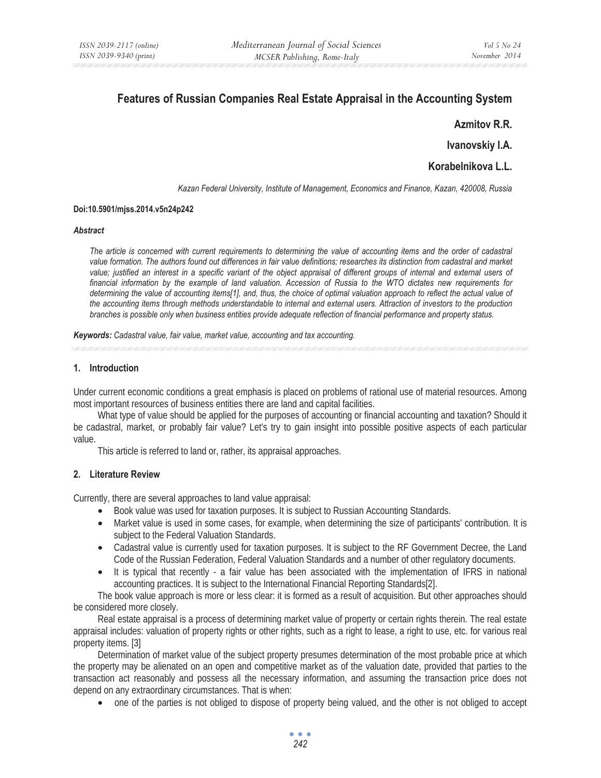# **Features of Russian Companies Real Estate Appraisal in the Accounting System**

**Azmitov R.R.** 

**Ivanovskiy I.A.** 

**Korabelnikova L.L.**

*Kazan Federal University, Institute of Management, Economics and Finance, Kazan, 420008, Russia* 

## **Doi:10.5901/mjss.2014.v5n24p242**

## *Abstract*

*The article is concerned with current requirements to determining the value of accounting items and the order of cadastral value formation. The authors found out differences in fair value definitions; researches its distinction from cadastral and market*  value; justified an interest in a specific variant of the object appraisal of different groups of internal and external users of *financial information by the example of land valuation. Accession of Russia to the WTO dictates new requirements for*  determining the value of accounting items[1], and, thus, the choice of optimal valuation approach to reflect the actual value of *the accounting items through methods understandable to internal and external users. Attraction of investors to the production branches is possible only when business entities provide adequate reflection of financial performance and property status.* 

*Keywords: Cadastral value, fair value, market value, accounting and tax accounting.* 

## **1. Introduction**

Under current economic conditions a great emphasis is placed on problems of rational use of material resources. Among most important resources of business entities there are land and capital facilities.

What type of value should be applied for the purposes of accounting or financial accounting and taxation? Should it be cadastral, market, or probably fair value? Let's try to gain insight into possible positive aspects of each particular value.

This article is referred to land or, rather, its appraisal approaches.

## **2. Literature Review**

Currently, there are several approaches to land value appraisal:

- Book value was used for taxation purposes. It is subject to Russian Accounting Standards.
- Market value is used in some cases, for example, when determining the size of participants' contribution. It is subject to the Federal Valuation Standards.
- Cadastral value is currently used for taxation purposes. It is subject to the RF Government Decree, the Land Code of the Russian Federation, Federal Valuation Standards and a number of other regulatory documents.
- It is typical that recently a fair value has been associated with the implementation of IFRS in national accounting practices. It is subject to the International Financial Reporting Standards[2].

The book value approach is more or less clear: it is formed as a result of acquisition. But other approaches should be considered more closely.

Real estate appraisal is a process of determining market value of property or certain rights therein. The real estate appraisal includes: valuation of property rights or other rights, such as a right to lease, a right to use, etc. for various real property items. [3]

Determination of market value of the subject property presumes determination of the most probable price at which the property may be alienated on an open and competitive market as of the valuation date, provided that parties to the transaction act reasonably and possess all the necessary information, and assuming the transaction price does not depend on any extraordinary circumstances. That is when:

• one of the parties is not obliged to dispose of property being valued, and the other is not obliged to accept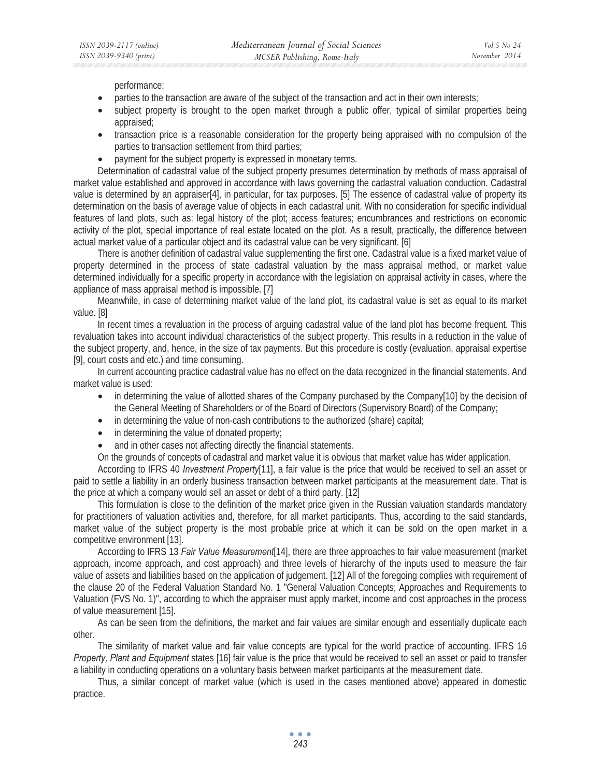performance;

- parties to the transaction are aware of the subject of the transaction and act in their own interests;
- subject property is brought to the open market through a public offer, typical of similar properties being appraised;
- transaction price is a reasonable consideration for the property being appraised with no compulsion of the parties to transaction settlement from third parties;
- payment for the subject property is expressed in monetary terms.

Determination of cadastral value of the subject property presumes determination by methods of mass appraisal of market value established and approved in accordance with laws governing the cadastral valuation conduction. Cadastral value is determined by an appraiser[4], in particular, for tax purposes. [5] The essence of cadastral value of property its determination on the basis of average value of objects in each cadastral unit. With no consideration for specific individual features of land plots, such as: legal history of the plot; access features; encumbrances and restrictions on economic activity of the plot, special importance of real estate located on the plot. As a result, practically, the difference between actual market value of a particular object and its cadastral value can be very significant. [6]

There is another definition of cadastral value supplementing the first one. Cadastral value is a fixed market value of property determined in the process of state cadastral valuation by the mass appraisal method, or market value determined individually for a specific property in accordance with the legislation on appraisal activity in cases, where the appliance of mass appraisal method is impossible. [7]

Meanwhile, in case of determining market value of the land plot, its cadastral value is set as equal to its market value. [8]

In recent times a revaluation in the process of arguing cadastral value of the land plot has become frequent. This revaluation takes into account individual characteristics of the subject property. This results in a reduction in the value of the subject property, and, hence, in the size of tax payments. But this procedure is costly (evaluation, appraisal expertise [9], court costs and etc.) and time consuming.

In current accounting practice cadastral value has no effect on the data recognized in the financial statements. And market value is used:

- in determining the value of allotted shares of the Company purchased by the Company[10] by the decision of the General Meeting of Shareholders or of the Board of Directors (Supervisory Board) of the Company;
- in determining the value of non-cash contributions to the authorized (share) capital;
- in determining the value of donated property;
- and in other cases not affecting directly the financial statements.

On the grounds of concepts of cadastral and market value it is obvious that market value has wider application.

According to IFRS 40 *Investment Property*[11], a fair value is the price that would be received to sell an asset or paid to settle a liability in an orderly business transaction between market participants at the measurement date. That is the price at which a company would sell an asset or debt of a third party. [12]

This formulation is close to the definition of the market price given in the Russian valuation standards mandatory for practitioners of valuation activities and, therefore, for all market participants. Thus, according to the said standards, market value of the subject property is the most probable price at which it can be sold on the open market in a competitive environment [13].

According to IFRS 13 *Fair Value Measurement*[14], there are three approaches to fair value measurement (market approach, income approach, and cost approach) and three levels of hierarchy of the inputs used to measure the fair value of assets and liabilities based on the application of judgement. [12] All of the foregoing complies with requirement of the clause 20 of the Federal Valuation Standard No. 1 "General Valuation Concepts; Approaches and Requirements to Valuation (FVS No. 1)", according to which the appraiser must apply market, income and cost approaches in the process of value measurement [15].

As can be seen from the definitions, the market and fair values are similar enough and essentially duplicate each other.

The similarity of market value and fair value concepts are typical for the world practice of accounting. IFRS 16 *Property, Plant and Equipment* states [16] fair value is the price that would be received to sell an asset or paid to transfer a liability in conducting operations on a voluntary basis between market participants at the measurement date.

Thus, a similar concept of market value (which is used in the cases mentioned above) appeared in domestic practice.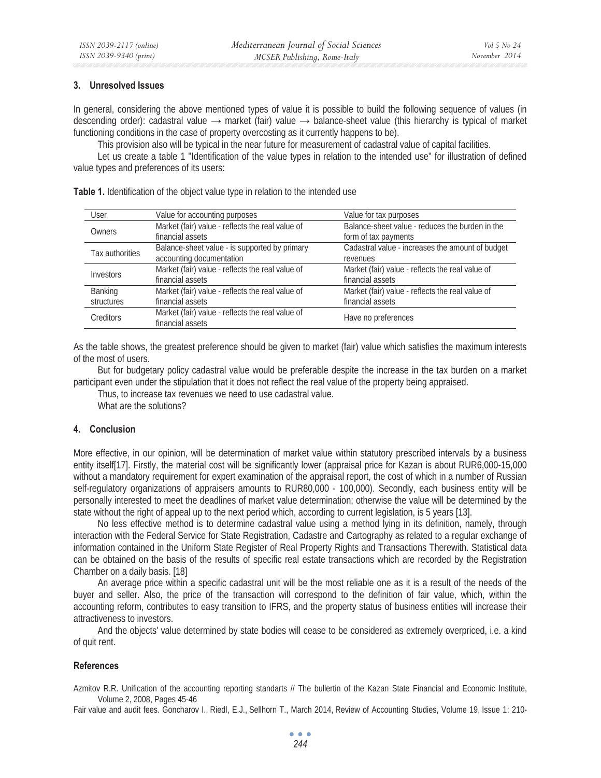## **3. Unresolved Issues**

In general, considering the above mentioned types of value it is possible to build the following sequence of values (in descending order): cadastral value  $\rightarrow$  market (fair) value  $\rightarrow$  balance-sheet value (this hierarchy is typical of market functioning conditions in the case of property overcosting as it currently happens to be).

This provision also will be typical in the near future for measurement of cadastral value of capital facilities.

Let us create a table 1 "Identification of the value types in relation to the intended use" for illustration of defined value types and preferences of its users:

| User            | Value for accounting purposes                    | Value for tax purposes                           |
|-----------------|--------------------------------------------------|--------------------------------------------------|
| Owners          | Market (fair) value - reflects the real value of | Balance-sheet value - reduces the burden in the  |
|                 | financial assets                                 | form of tax payments                             |
| Tax authorities | Balance-sheet value - is supported by primary    | Cadastral value - increases the amount of budget |
|                 | accounting documentation                         | revenues                                         |
| Investors       | Market (fair) value - reflects the real value of | Market (fair) value - reflects the real value of |
|                 | financial assets                                 | financial assets                                 |
| Banking         | Market (fair) value - reflects the real value of | Market (fair) value - reflects the real value of |
| structures      | financial assets                                 | financial assets                                 |
| Creditors       | Market (fair) value - reflects the real value of | Have no preferences                              |
|                 | financial assets                                 |                                                  |

**Table 1.** Identification of the object value type in relation to the intended use

As the table shows, the greatest preference should be given to market (fair) value which satisfies the maximum interests of the most of users.

But for budgetary policy cadastral value would be preferable despite the increase in the tax burden on a market participant even under the stipulation that it does not reflect the real value of the property being appraised.

Thus, to increase tax revenues we need to use cadastral value. What are the solutions?

## **4. Conclusion**

More effective, in our opinion, will be determination of market value within statutory prescribed intervals by a business entity itself[17]. Firstly, the material cost will be significantly lower (appraisal price for Kazan is about RUR6,000-15,000 without a mandatory requirement for expert examination of the appraisal report, the cost of which in a number of Russian self-regulatory organizations of appraisers amounts to RUR80,000 - 100,000). Secondly, each business entity will be personally interested to meet the deadlines of market value determination; otherwise the value will be determined by the state without the right of appeal up to the next period which, according to current legislation, is 5 years [13].

No less effective method is to determine cadastral value using a method lying in its definition, namely, through interaction with the Federal Service for State Registration, Cadastre and Cartography as related to a regular exchange of information contained in the Uniform State Register of Real Property Rights and Transactions Therewith. Statistical data can be obtained on the basis of the results of specific real estate transactions which are recorded by the Registration Chamber on a daily basis. [18]

An average price within a specific cadastral unit will be the most reliable one as it is a result of the needs of the buyer and seller. Also, the price of the transaction will correspond to the definition of fair value, which, within the accounting reform, contributes to easy transition to IFRS, and the property status of business entities will increase their attractiveness to investors.

And the objects' value determined by state bodies will cease to be considered as extremely overpriced, i.e. a kind of quit rent.

## **References**

Azmitov R.R. Unification of the accounting reporting standarts // The bullertin of the Kazan State Financial and Economic Institute, Volume 2, 2008, Pages 45-46

Fair value and audit fees. Goncharov I., Riedl, E.J., Sellhorn T., March 2014, Review of Accounting Studies, Volume 19, Issue 1: 210-